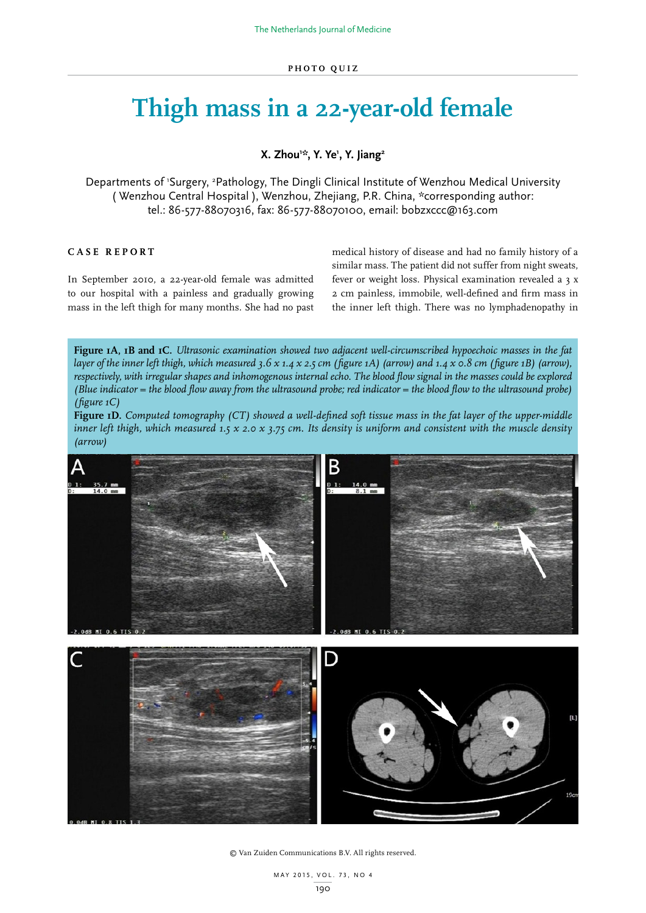## **Thigh mass in a 22-year-old female**

**X. Zhou1 \*, Y. Ye1 , Y. Jiang2**

Departments of 'Surgery, <sup>2</sup>Pathology, The Dingli Clinical Institute of Wenzhou Medical University ( Wenzhou Central Hospital ), Wenzhou, Zhejiang, P.R. China, \*corresponding author: tel.: 86-577-88070316, fax: 86-577-88070100, email: bobzxccc@163.com

## **CASE REPORT**

In September 2010, a 22-year-old female was admitted to our hospital with a painless and gradually growing mass in the left thigh for many months. She had no past medical history of disease and had no family history of a similar mass. The patient did not suffer from night sweats, fever or weight loss. Physical examination revealed a 3 x 2 cm painless, immobile, well-defined and firm mass in the inner left thigh. There was no lymphadenopathy in

**Figure 1A, 1B and 1C.** *Ultrasonic examination showed two adjacent well-circumscribed hypoechoic masses in the fat layer of the inner left thigh, which measured 3.6 x 1.4 x 2.5 cm (figure 1A) (arrow) and 1.4 x 0.8 cm (figure 1B) (arrow), respectively, with irregular shapes and inhomogenous internal echo. The blood flow signal in the masses could be explored (Blue indicator = the blood flow away from the ultrasound probe; red indicator = the blood flow to the ultrasound probe) (figure 1C)*

**Figure 1D.** *Computed tomography (CT) showed a well-defined soft tissue mass in the fat layer of the upper-middle inner left thigh, which measured 1.5 x 2.0 x 3.75 cm. Its density is uniform and consistent with the muscle density (arrow)*



© Van Zuiden Communications B.V. All rights reserved.